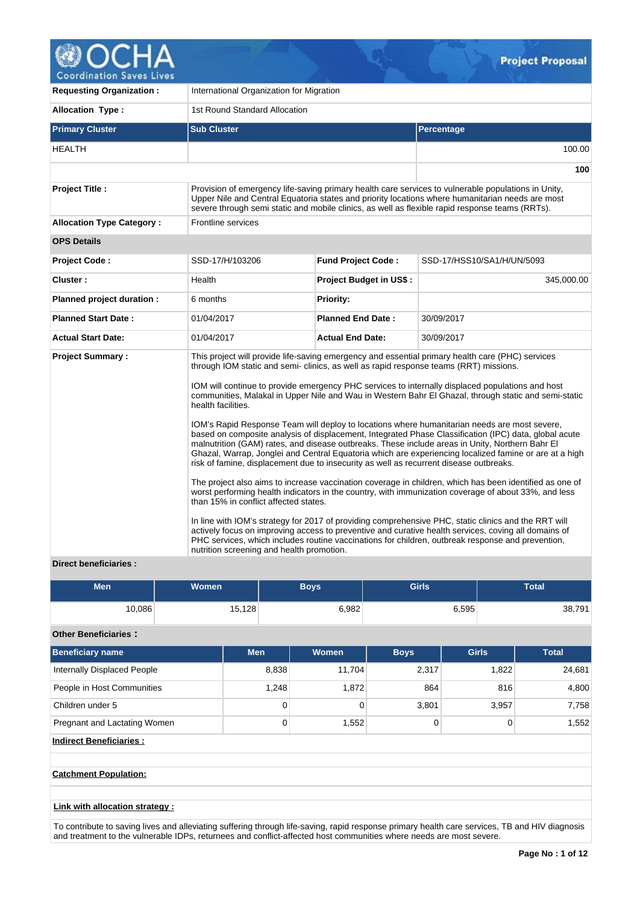

**Coordination Saves Lives** 

| <b>Requesting Organization:</b>  | International Organization for Migration                                                                                                                                                                                                                                                    |                                |                                                                                                                                                                                                                                                                                                                                                                                                                                                                                                                                                                                                                                                                                                                                                                                                                                                                                                                                                                                                                                                                                                                                                                                                                                                                            |  |  |  |  |  |
|----------------------------------|---------------------------------------------------------------------------------------------------------------------------------------------------------------------------------------------------------------------------------------------------------------------------------------------|--------------------------------|----------------------------------------------------------------------------------------------------------------------------------------------------------------------------------------------------------------------------------------------------------------------------------------------------------------------------------------------------------------------------------------------------------------------------------------------------------------------------------------------------------------------------------------------------------------------------------------------------------------------------------------------------------------------------------------------------------------------------------------------------------------------------------------------------------------------------------------------------------------------------------------------------------------------------------------------------------------------------------------------------------------------------------------------------------------------------------------------------------------------------------------------------------------------------------------------------------------------------------------------------------------------------|--|--|--|--|--|
| <b>Allocation Type:</b>          | 1st Round Standard Allocation                                                                                                                                                                                                                                                               |                                |                                                                                                                                                                                                                                                                                                                                                                                                                                                                                                                                                                                                                                                                                                                                                                                                                                                                                                                                                                                                                                                                                                                                                                                                                                                                            |  |  |  |  |  |
| <b>Primary Cluster</b>           | <b>Sub Cluster</b>                                                                                                                                                                                                                                                                          |                                | <b>Percentage</b>                                                                                                                                                                                                                                                                                                                                                                                                                                                                                                                                                                                                                                                                                                                                                                                                                                                                                                                                                                                                                                                                                                                                                                                                                                                          |  |  |  |  |  |
| <b>HEALTH</b>                    |                                                                                                                                                                                                                                                                                             |                                | 100.00                                                                                                                                                                                                                                                                                                                                                                                                                                                                                                                                                                                                                                                                                                                                                                                                                                                                                                                                                                                                                                                                                                                                                                                                                                                                     |  |  |  |  |  |
|                                  |                                                                                                                                                                                                                                                                                             |                                | 100                                                                                                                                                                                                                                                                                                                                                                                                                                                                                                                                                                                                                                                                                                                                                                                                                                                                                                                                                                                                                                                                                                                                                                                                                                                                        |  |  |  |  |  |
| <b>Project Title:</b>            |                                                                                                                                                                                                                                                                                             |                                | Provision of emergency life-saving primary health care services to vulnerable populations in Unity,<br>Upper Nile and Central Equatoria states and priority locations where humanitarian needs are most<br>severe through semi static and mobile clinics, as well as flexible rapid response teams (RRTs).                                                                                                                                                                                                                                                                                                                                                                                                                                                                                                                                                                                                                                                                                                                                                                                                                                                                                                                                                                 |  |  |  |  |  |
| <b>Allocation Type Category:</b> | Frontline services                                                                                                                                                                                                                                                                          |                                |                                                                                                                                                                                                                                                                                                                                                                                                                                                                                                                                                                                                                                                                                                                                                                                                                                                                                                                                                                                                                                                                                                                                                                                                                                                                            |  |  |  |  |  |
| <b>OPS Details</b>               |                                                                                                                                                                                                                                                                                             |                                |                                                                                                                                                                                                                                                                                                                                                                                                                                                                                                                                                                                                                                                                                                                                                                                                                                                                                                                                                                                                                                                                                                                                                                                                                                                                            |  |  |  |  |  |
| <b>Project Code:</b>             | SSD-17/H/103206                                                                                                                                                                                                                                                                             | <b>Fund Project Code:</b>      | SSD-17/HSS10/SA1/H/UN/5093                                                                                                                                                                                                                                                                                                                                                                                                                                                                                                                                                                                                                                                                                                                                                                                                                                                                                                                                                                                                                                                                                                                                                                                                                                                 |  |  |  |  |  |
| Cluster:                         | Health                                                                                                                                                                                                                                                                                      | <b>Project Budget in US\$:</b> | 345,000.00                                                                                                                                                                                                                                                                                                                                                                                                                                                                                                                                                                                                                                                                                                                                                                                                                                                                                                                                                                                                                                                                                                                                                                                                                                                                 |  |  |  |  |  |
| Planned project duration :       | 6 months                                                                                                                                                                                                                                                                                    | <b>Priority:</b>               |                                                                                                                                                                                                                                                                                                                                                                                                                                                                                                                                                                                                                                                                                                                                                                                                                                                                                                                                                                                                                                                                                                                                                                                                                                                                            |  |  |  |  |  |
| <b>Planned Start Date:</b>       | 01/04/2017                                                                                                                                                                                                                                                                                  | <b>Planned End Date:</b>       | 30/09/2017                                                                                                                                                                                                                                                                                                                                                                                                                                                                                                                                                                                                                                                                                                                                                                                                                                                                                                                                                                                                                                                                                                                                                                                                                                                                 |  |  |  |  |  |
| <b>Actual Start Date:</b>        | 01/04/2017                                                                                                                                                                                                                                                                                  | <b>Actual End Date:</b>        | 30/09/2017                                                                                                                                                                                                                                                                                                                                                                                                                                                                                                                                                                                                                                                                                                                                                                                                                                                                                                                                                                                                                                                                                                                                                                                                                                                                 |  |  |  |  |  |
| <b>Project Summary:</b>          | through IOM static and semi- clinics, as well as rapid response teams (RRT) missions.<br>health facilities.<br>risk of famine, displacement due to insecurity as well as recurrent disease outbreaks.<br>than 15% in conflict affected states.<br>nutrition screening and health promotion. |                                | This project will provide life-saving emergency and essential primary health care (PHC) services<br>IOM will continue to provide emergency PHC services to internally displaced populations and host<br>communities, Malakal in Upper Nile and Wau in Western Bahr El Ghazal, through static and semi-static<br>IOM's Rapid Response Team will deploy to locations where humanitarian needs are most severe,<br>based on composite analysis of displacement, Integrated Phase Classification (IPC) data, global acute<br>malnutrition (GAM) rates, and disease outbreaks. These include areas in Unity, Northern Bahr El<br>Ghazal, Warrap, Jonglei and Central Equatoria which are experiencing localized famine or are at a high<br>The project also aims to increase vaccination coverage in children, which has been identified as one of<br>worst performing health indicators in the country, with immunization coverage of about 33%, and less<br>In line with IOM's strategy for 2017 of providing comprehensive PHC, static clinics and the RRT will<br>actively focus on improving access to preventive and curative health services, coving all domains of<br>PHC services, which includes routine vaccinations for children, outbreak response and prevention, |  |  |  |  |  |

# **Direct beneficiaries :**

| <b>Men</b> | Women  | Boys  | <b>Girls</b> | Total  |
|------------|--------|-------|--------------|--------|
| 10,086     | 15,128 | 6,982 | 6,595        | 38,791 |

# **Other Beneficiaries :**

| Beneficiary name               | <b>Men</b> | <b>Women</b> | <b>Boys</b> | <b>Girls</b> | <b>Total</b> |
|--------------------------------|------------|--------------|-------------|--------------|--------------|
| Internally Displaced People    | 8,838      | 11.704       | 2,317       | 1,822        | 24,681       |
| People in Host Communities     | 1,248      | 1,872        | 864         | 816          | 4,800        |
| Children under 5               | 0          | 0            | 3,801       | 3,957        | 7,758        |
| Pregnant and Lactating Women   | 0          | 1,552        | 0           | 0            | 1,552        |
| <b>Indirect Beneficiaries:</b> |            |              |             |              |              |

# **Catchment Population:**

## **Link with allocation strategy :**

To contribute to saving lives and alleviating suffering through life-saving, rapid response primary health care services, TB and HIV diagnosis and treatment to the vulnerable IDPs, returnees and conflict-affected host communities where needs are most severe.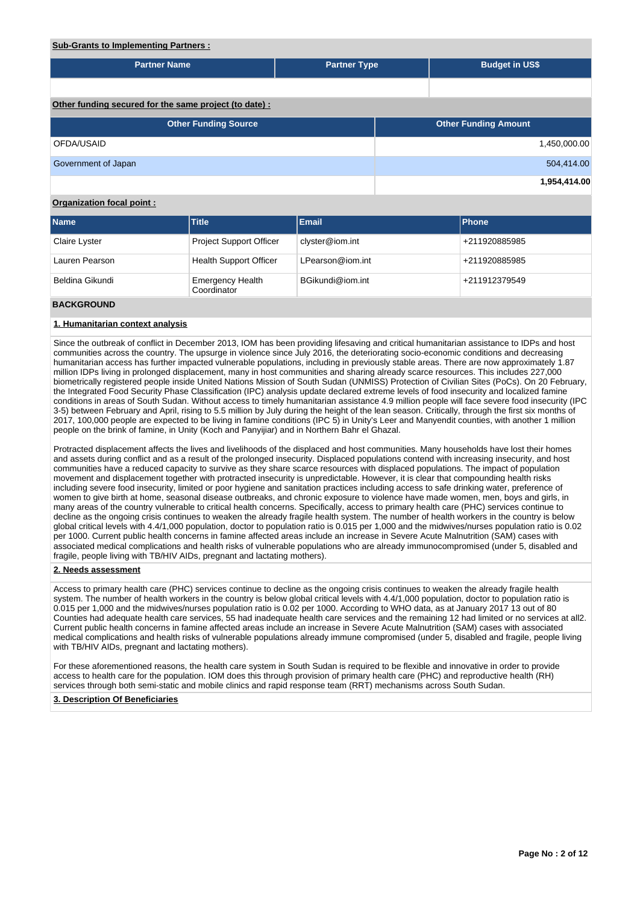## **Sub-Grants to Implementing Partners :**

| <b>Partner Name</b>                                   | <b>Partner Type</b> | <b>Budget in US\$</b>       |              |  |  |  |  |  |  |  |  |
|-------------------------------------------------------|---------------------|-----------------------------|--------------|--|--|--|--|--|--|--|--|
|                                                       |                     |                             |              |  |  |  |  |  |  |  |  |
|                                                       |                     |                             |              |  |  |  |  |  |  |  |  |
| Other funding secured for the same project (to date): |                     |                             |              |  |  |  |  |  |  |  |  |
| <b>Other Funding Source</b>                           |                     | <b>Other Funding Amount</b> |              |  |  |  |  |  |  |  |  |
| OFDA/USAID                                            |                     |                             | 1,450,000.00 |  |  |  |  |  |  |  |  |
| Government of Japan                                   |                     |                             | 504,414.00   |  |  |  |  |  |  |  |  |
|                                                       |                     |                             | 1,954,414.00 |  |  |  |  |  |  |  |  |

## **Organization focal point :**

| <b>Name</b>     | <b>Title</b>                           | Email            | Phone         |
|-----------------|----------------------------------------|------------------|---------------|
| Claire Lyster   | <b>Project Support Officer</b>         | clyster@iom.int  | +211920885985 |
| Lauren Pearson  | <b>Health Support Officer</b>          | LPearson@iom.int | +211920885985 |
| Beldina Gikundi | <b>Emergency Health</b><br>Coordinator | BGikundi@iom.int | +211912379549 |

### **BACKGROUND**

## **1. Humanitarian context analysis**

Since the outbreak of conflict in December 2013, IOM has been providing lifesaving and critical humanitarian assistance to IDPs and host communities across the country. The upsurge in violence since July 2016, the deteriorating socio-economic conditions and decreasing humanitarian access has further impacted vulnerable populations, including in previously stable areas. There are now approximately 1.87 million IDPs living in prolonged displacement, many in host communities and sharing already scarce resources. This includes 227,000 biometrically registered people inside United Nations Mission of South Sudan (UNMISS) Protection of Civilian Sites (PoCs). On 20 February, the Integrated Food Security Phase Classification (IPC) analysis update declared extreme levels of food insecurity and localized famine conditions in areas of South Sudan. Without access to timely humanitarian assistance 4.9 million people will face severe food insecurity (IPC 3-5) between February and April, rising to 5.5 million by July during the height of the lean season. Critically, through the first six months of 2017, 100,000 people are expected to be living in famine conditions (IPC 5) in Unity's Leer and Manyendit counties, with another 1 million people on the brink of famine, in Unity (Koch and Panyijiar) and in Northern Bahr el Ghazal.

Protracted displacement affects the lives and livelihoods of the displaced and host communities. Many households have lost their homes and assets during conflict and as a result of the prolonged insecurity. Displaced populations contend with increasing insecurity, and host communities have a reduced capacity to survive as they share scarce resources with displaced populations. The impact of population movement and displacement together with protracted insecurity is unpredictable. However, it is clear that compounding health risks including severe food insecurity, limited or poor hygiene and sanitation practices including access to safe drinking water, preference of women to give birth at home, seasonal disease outbreaks, and chronic exposure to violence have made women, men, boys and girls, in many areas of the country vulnerable to critical health concerns. Specifically, access to primary health care (PHC) services continue to decline as the ongoing crisis continues to weaken the already fragile health system. The number of health workers in the country is below global critical levels with 4.4/1,000 population, doctor to population ratio is 0.015 per 1,000 and the midwives/nurses population ratio is 0.02 per 1000. Current public health concerns in famine affected areas include an increase in Severe Acute Malnutrition (SAM) cases with associated medical complications and health risks of vulnerable populations who are already immunocompromised (under 5, disabled and fragile, people living with TB/HIV AIDs, pregnant and lactating mothers).

### **2. Needs assessment**

Access to primary health care (PHC) services continue to decline as the ongoing crisis continues to weaken the already fragile health system. The number of health workers in the country is below global critical levels with 4.4/1,000 population, doctor to population ratio is 0.015 per 1,000 and the midwives/nurses population ratio is 0.02 per 1000. According to WHO data, as at January 2017 13 out of 80 Counties had adequate health care services, 55 had inadequate health care services and the remaining 12 had limited or no services at all2. Current public health concerns in famine affected areas include an increase in Severe Acute Malnutrition (SAM) cases with associated medical complications and health risks of vulnerable populations already immune compromised (under 5, disabled and fragile, people living with TB/HIV AIDs, pregnant and lactating mothers).

For these aforementioned reasons, the health care system in South Sudan is required to be flexible and innovative in order to provide access to health care for the population. IOM does this through provision of primary health care (PHC) and reproductive health (RH) services through both semi-static and mobile clinics and rapid response team (RRT) mechanisms across South Sudan.

### **3. Description Of Beneficiaries**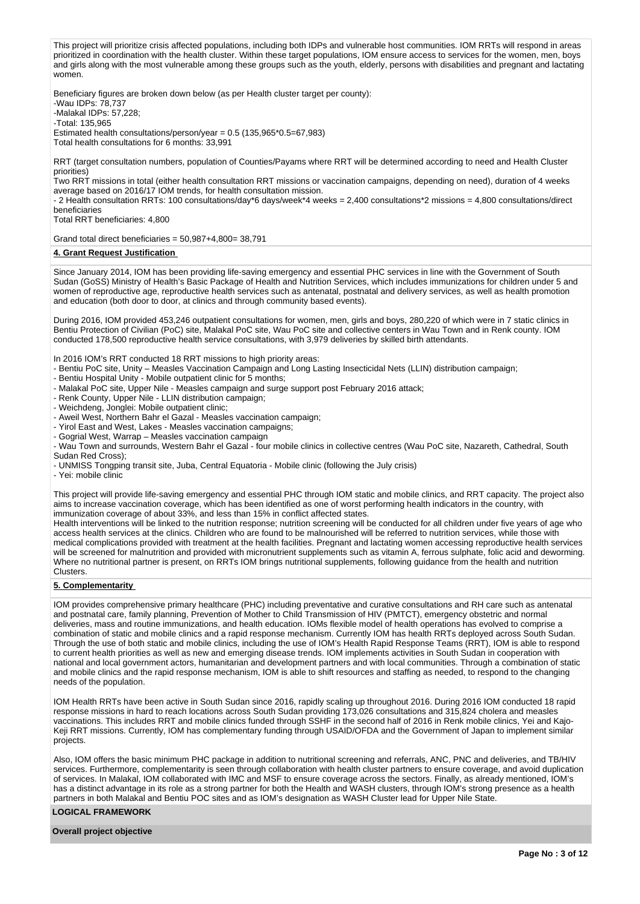This project will prioritize crisis affected populations, including both IDPs and vulnerable host communities. IOM RRTs will respond in areas prioritized in coordination with the health cluster. Within these target populations, IOM ensure access to services for the women, men, boys and girls along with the most vulnerable among these groups such as the youth, elderly, persons with disabilities and pregnant and lactating women.

Beneficiary figures are broken down below (as per Health cluster target per county): -Wau IDPs: 78,737 -Malakal IDPs: 57,228; -Total: 135,965 Estimated health consultations/person/year =  $0.5$  (135,965 $*0.5$ =67,983) Total health consultations for 6 months: 33,991

RRT (target consultation numbers, population of Counties/Payams where RRT will be determined according to need and Health Cluster priorities)

Two RRT missions in total (either health consultation RRT missions or vaccination campaigns, depending on need), duration of 4 weeks average based on 2016/17 IOM trends, for health consultation mission.

- 2 Health consultation RRTs: 100 consultations/day\*6 days/week\*4 weeks = 2,400 consultations\*2 missions = 4,800 consultations/direct beneficiaries

Total RRT beneficiaries: 4,800

Grand total direct beneficiaries = 50,987+4,800= 38,791

#### **4. Grant Request Justification**

Since January 2014, IOM has been providing life-saving emergency and essential PHC services in line with the Government of South Sudan (GoSS) Ministry of Health's Basic Package of Health and Nutrition Services, which includes immunizations for children under 5 and women of reproductive age, reproductive health services such as antenatal, postnatal and delivery services, as well as health promotion and education (both door to door, at clinics and through community based events).

During 2016, IOM provided 453,246 outpatient consultations for women, men, girls and boys, 280,220 of which were in 7 static clinics in Bentiu Protection of Civilian (PoC) site, Malakal PoC site, Wau PoC site and collective centers in Wau Town and in Renk county. IOM conducted 178,500 reproductive health service consultations, with 3,979 deliveries by skilled birth attendants.

In 2016 IOM's RRT conducted 18 RRT missions to high priority areas:

- Bentiu PoC site, Unity Measles Vaccination Campaign and Long Lasting Insecticidal Nets (LLIN) distribution campaign;
- Bentiu Hospital Unity Mobile outpatient clinic for 5 months;
- Malakal PoC site, Upper Nile Measles campaign and surge support post February 2016 attack;
- Renk County, Upper Nile LLIN distribution campaign;
- Weichdeng, Jonglei: Mobile outpatient clinic;

- Aweil West, Northern Bahr el Gazal - Measles vaccination campaign;

- Yirol East and West, Lakes Measles vaccination campaigns;
- Gogrial West, Warrap Measles vaccination campaign
- Wau Town and surrounds, Western Bahr el Gazal four mobile clinics in collective centres (Wau PoC site, Nazareth, Cathedral, South Sudan Red Cross);
- UNMISS Tongping transit site, Juba, Central Equatoria Mobile clinic (following the July crisis)

- Yei: mobile clinic

This project will provide life-saving emergency and essential PHC through IOM static and mobile clinics, and RRT capacity. The project also aims to increase vaccination coverage, which has been identified as one of worst performing health indicators in the country, with immunization coverage of about 33%, and less than 15% in conflict affected states.

Health interventions will be linked to the nutrition response; nutrition screening will be conducted for all children under five years of age who access health services at the clinics. Children who are found to be malnourished will be referred to nutrition services, while those with medical complications provided with treatment at the health facilities. Pregnant and lactating women accessing reproductive health services will be screened for malnutrition and provided with micronutrient supplements such as vitamin A, ferrous sulphate, folic acid and deworming. Where no nutritional partner is present, on RRTs IOM brings nutritional supplements, following guidance from the health and nutrition Clusters.

### **5. Complementarity**

IOM provides comprehensive primary healthcare (PHC) including preventative and curative consultations and RH care such as antenatal and postnatal care, family planning, Prevention of Mother to Child Transmission of HIV (PMTCT), emergency obstetric and normal deliveries, mass and routine immunizations, and health education. IOMs flexible model of health operations has evolved to comprise a combination of static and mobile clinics and a rapid response mechanism. Currently IOM has health RRTs deployed across South Sudan. Through the use of both static and mobile clinics, including the use of IOM's Health Rapid Response Teams (RRT), IOM is able to respond to current health priorities as well as new and emerging disease trends. IOM implements activities in South Sudan in cooperation with national and local government actors, humanitarian and development partners and with local communities. Through a combination of static and mobile clinics and the rapid response mechanism, IOM is able to shift resources and staffing as needed, to respond to the changing needs of the population.

IOM Health RRTs have been active in South Sudan since 2016, rapidly scaling up throughout 2016. During 2016 IOM conducted 18 rapid response missions in hard to reach locations across South Sudan providing 173,026 consultations and 315,824 cholera and measles vaccinations. This includes RRT and mobile clinics funded through SSHF in the second half of 2016 in Renk mobile clinics, Yei and Kajo-Keji RRT missions. Currently, IOM has complementary funding through USAID/OFDA and the Government of Japan to implement similar projects.

Also, IOM offers the basic minimum PHC package in addition to nutritional screening and referrals, ANC, PNC and deliveries, and TB/HIV services. Furthermore, complementarity is seen through collaboration with health cluster partners to ensure coverage, and avoid duplication of services. In Malakal, IOM collaborated with IMC and MSF to ensure coverage across the sectors. Finally, as already mentioned, IOM's has a distinct advantage in its role as a strong partner for both the Health and WASH clusters, through IOM's strong presence as a health partners in both Malakal and Bentiu POC sites and as IOM's designation as WASH Cluster lead for Upper Nile State.

#### **LOGICAL FRAMEWORK**

**Overall project objective**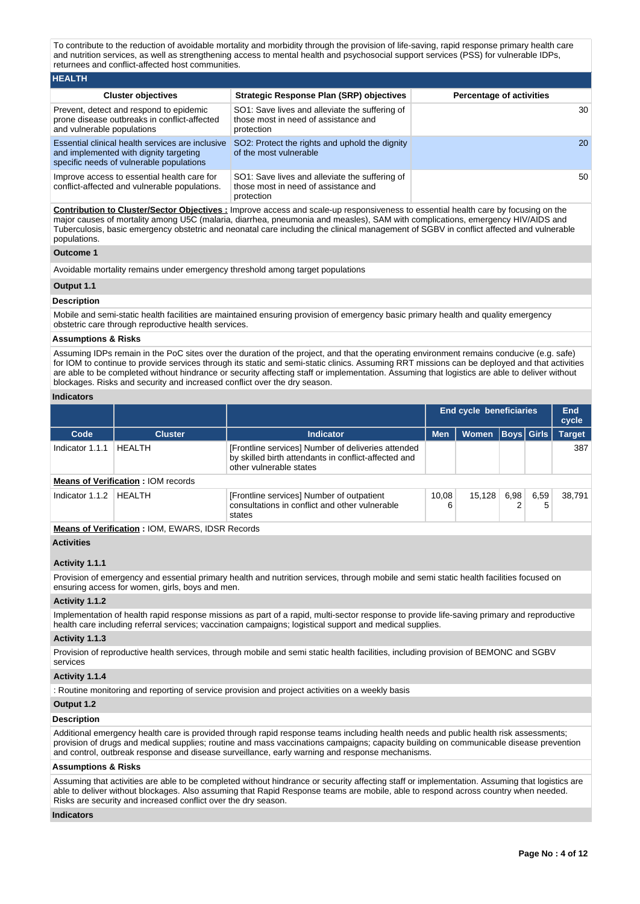To contribute to the reduction of avoidable mortality and morbidity through the provision of life-saving, rapid response primary health care and nutrition services, as well as strengthening access to mental health and psychosocial support services (PSS) for vulnerable IDPs, returnees and conflict-affected host communities.

| <b>HEALTH</b>                                                                                                                          |                                                                                                      |                                 |
|----------------------------------------------------------------------------------------------------------------------------------------|------------------------------------------------------------------------------------------------------|---------------------------------|
| <b>Cluster objectives</b>                                                                                                              | Strategic Response Plan (SRP) objectives                                                             | <b>Percentage of activities</b> |
| Prevent, detect and respond to epidemic<br>prone disease outbreaks in conflict-affected<br>and vulnerable populations                  | SO1: Save lives and alleviate the suffering of<br>those most in need of assistance and<br>protection | 30                              |
| Essential clinical health services are inclusive<br>and implemented with dignity targeting<br>specific needs of vulnerable populations | SO2: Protect the rights and uphold the dignity<br>of the most vulnerable                             | 20                              |
| Improve access to essential health care for<br>conflict-affected and vulnerable populations.                                           | SO1: Save lives and alleviate the suffering of<br>those most in need of assistance and<br>protection | 50                              |

**Contribution to Cluster/Sector Objectives :** Improve access and scale-up responsiveness to essential health care by focusing on the major causes of mortality among U5C (malaria, diarrhea, pneumonia and measles), SAM with complications, emergency HIV/AIDS and Tuberculosis, basic emergency obstetric and neonatal care including the clinical management of SGBV in conflict affected and vulnerable populations.

### **Outcome 1**

Avoidable mortality remains under emergency threshold among target populations

### **Output 1.1**

### **Description**

Mobile and semi-static health facilities are maintained ensuring provision of emergency basic primary health and quality emergency obstetric care through reproductive health services.

#### **Assumptions & Risks**

Assuming IDPs remain in the PoC sites over the duration of the project, and that the operating environment remains conducive (e.g. safe) for IOM to continue to provide services through its static and semi-static clinics. Assuming RRT missions can be deployed and that activities are able to be completed without hindrance or security affecting staff or implementation. Assuming that logistics are able to deliver without blockages. Risks and security and increased conflict over the dry season.

### **Indicators**

|                 |                                                   | <b>End cycle beneficiaries</b>                                                                                                        |            |              |                   |           | End<br>cycle  |
|-----------------|---------------------------------------------------|---------------------------------------------------------------------------------------------------------------------------------------|------------|--------------|-------------------|-----------|---------------|
| Code            | <b>Cluster</b>                                    | <b>Indicator</b>                                                                                                                      | <b>Men</b> | <b>Women</b> | <b>Boys</b> Girls |           | <b>Target</b> |
| Indicator 1.1.1 | <b>HEALTH</b>                                     | [Frontline services] Number of deliveries attended<br>by skilled birth attendants in conflict-affected and<br>other vulnerable states |            |              |                   |           | 387           |
|                 | <b>Means of Verification: IOM records</b>         |                                                                                                                                       |            |              |                   |           |               |
| Indicator 1.1.2 | HFAI TH                                           | [Frontline services] Number of outpatient<br>10.08<br>consultations in conflict and other vulnerable<br>states                        |            | 15,128       | 6.98              | 6.59<br>5 | 38.791        |
|                 | Means of Verification . IOM FINADO, IDOD December |                                                                                                                                       |            |              |                   |           |               |

**Means of Verification :** IOM, EWARS, IDSR Records

### **Activities**

## **Activity 1.1.1**

Provision of emergency and essential primary health and nutrition services, through mobile and semi static health facilities focused on ensuring access for women, girls, boys and men.

### **Activity 1.1.2**

Implementation of health rapid response missions as part of a rapid, multi-sector response to provide life-saving primary and reproductive health care including referral services; vaccination campaigns; logistical support and medical supplies.

#### **Activity 1.1.3**

Provision of reproductive health services, through mobile and semi static health facilities, including provision of BEMONC and SGBV services

### **Activity 1.1.4**

: Routine monitoring and reporting of service provision and project activities on a weekly basis

#### **Output 1.2**

#### **Description**

Additional emergency health care is provided through rapid response teams including health needs and public health risk assessments; provision of drugs and medical supplies; routine and mass vaccinations campaigns; capacity building on communicable disease prevention and control, outbreak response and disease surveillance, early warning and response mechanisms.

#### **Assumptions & Risks**

Assuming that activities are able to be completed without hindrance or security affecting staff or implementation. Assuming that logistics are able to deliver without blockages. Also assuming that Rapid Response teams are mobile, able to respond across country when needed. Risks are security and increased conflict over the dry season.

### **Indicators**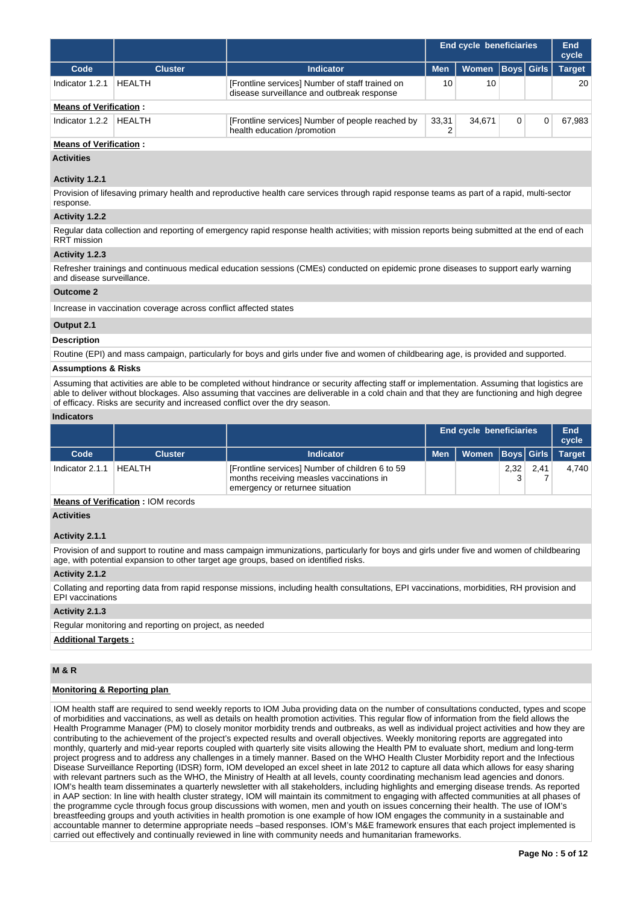|                               |                |                                                                                               | <b>End cycle beneficiaries</b> | End<br>cycle |  |             |               |  |  |
|-------------------------------|----------------|-----------------------------------------------------------------------------------------------|--------------------------------|--------------|--|-------------|---------------|--|--|
| Code                          | <b>Cluster</b> | Indicator                                                                                     | <b>Men</b>                     | Women        |  | Boys  Girls | <b>Target</b> |  |  |
| Indicator 1.2.1               | <b>HFAITH</b>  | [Frontline services] Number of staff trained on<br>disease surveillance and outbreak response | 10                             | 10           |  |             | 20            |  |  |
| <b>Means of Verification:</b> |                |                                                                                               |                                |              |  |             |               |  |  |
| Indicator 1.2.2               | HFAI TH        | [Frontline services] Number of people reached by<br>health education /promotion               | 33.31<br>34.671                |              |  | 67.983      |               |  |  |

## **Means of Verification :**

**Activities**

### **Activity 1.2.1**

Provision of lifesaving primary health and reproductive health care services through rapid response teams as part of a rapid, multi-sector response.

# **Activity 1.2.2**

Regular data collection and reporting of emergency rapid response health activities; with mission reports being submitted at the end of each RRT mission

## **Activity 1.2.3**

Refresher trainings and continuous medical education sessions (CMEs) conducted on epidemic prone diseases to support early warning and disease surveillance.

#### **Outcome 2**

Increase in vaccination coverage across conflict affected states

#### **Output 2.1**

**Description**

Routine (EPI) and mass campaign, particularly for boys and girls under five and women of childbearing age, is provided and supported.

#### **Assumptions & Risks**

Assuming that activities are able to be completed without hindrance or security affecting staff or implementation. Assuming that logistics are able to deliver without blockages. Also assuming that vaccines are deliverable in a cold chain and that they are functioning and high degree of efficacy. Risks are security and increased conflict over the dry season.

# **Indicators**

|                 |                |                                                                                                                                | <b>End cycle beneficiaries</b> |                               |      |      | End<br>cycle |
|-----------------|----------------|--------------------------------------------------------------------------------------------------------------------------------|--------------------------------|-------------------------------|------|------|--------------|
| Code            | <b>Cluster</b> | <b>Indicator</b>                                                                                                               | <b>Men</b>                     | Women   Boys   Girls   Target |      |      |              |
| Indicator 2.1.1 | <b>HEALTH</b>  | [Frontline services] Number of children 6 to 59<br>months receiving measles vaccinations in<br>emergency or returnee situation |                                |                               | 2,32 | 2.41 | 4.740        |

# **Means of Verification :** IOM records

## **Activities**

### **Activity 2.1.1**

Provision of and support to routine and mass campaign immunizations, particularly for boys and girls under five and women of childbearing age, with potential expansion to other target age groups, based on identified risks.

### **Activity 2.1.2**

Collating and reporting data from rapid response missions, including health consultations, EPI vaccinations, morbidities, RH provision and EPI vaccinations

#### **Activity 2.1.3**

Regular monitoring and reporting on project, as needed

# **Additional Targets :**

## **M & R**

## **Monitoring & Reporting plan**

IOM health staff are required to send weekly reports to IOM Juba providing data on the number of consultations conducted, types and scope of morbidities and vaccinations, as well as details on health promotion activities. This regular flow of information from the field allows the Health Programme Manager (PM) to closely monitor morbidity trends and outbreaks, as well as individual project activities and how they are contributing to the achievement of the project's expected results and overall objectives. Weekly monitoring reports are aggregated into monthly, quarterly and mid-year reports coupled with quarterly site visits allowing the Health PM to evaluate short, medium and long-term project progress and to address any challenges in a timely manner. Based on the WHO Health Cluster Morbidity report and the Infectious Disease Surveillance Reporting (IDSR) form, IOM developed an excel sheet in late 2012 to capture all data which allows for easy sharing with relevant partners such as the WHO, the Ministry of Health at all levels, county coordinating mechanism lead agencies and donors. IOM's health team disseminates a quarterly newsletter with all stakeholders, including highlights and emerging disease trends. As reported in AAP section: In line with health cluster strategy, IOM will maintain its commitment to engaging with affected communities at all phases of the programme cycle through focus group discussions with women, men and youth on issues concerning their health. The use of IOM's breastfeeding groups and youth activities in health promotion is one example of how IOM engages the community in a sustainable and accountable manner to determine appropriate needs –based responses. IOM's M&E framework ensures that each project implemented is carried out effectively and continually reviewed in line with community needs and humanitarian frameworks.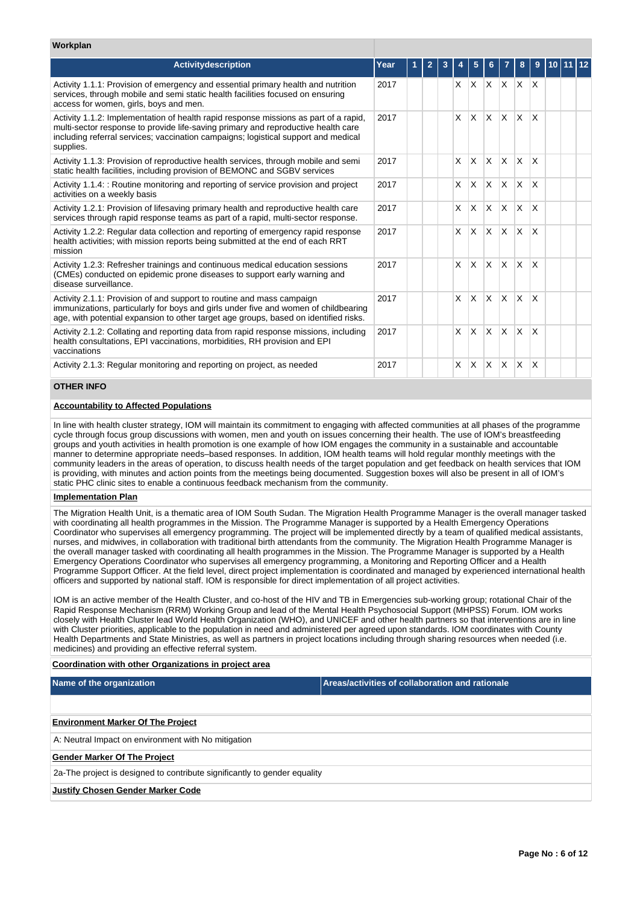| Workplan                                                                                                                                                                                                                                                                     |      |   |   |              |          |                         |              |              |  |  |
|------------------------------------------------------------------------------------------------------------------------------------------------------------------------------------------------------------------------------------------------------------------------------|------|---|---|--------------|----------|-------------------------|--------------|--------------|--|--|
| Activitydescription                                                                                                                                                                                                                                                          | Year | 2 |   |              |          |                         | 8            | 9            |  |  |
| Activity 1.1.1: Provision of emergency and essential primary health and nutrition<br>services, through mobile and semi static health facilities focused on ensuring<br>access for women, girls, boys and men.                                                                | 2017 |   | X | X.           | X.       | $X$ $X$ $X$             |              |              |  |  |
| Activity 1.1.2: Implementation of health rapid response missions as part of a rapid,<br>multi-sector response to provide life-saving primary and reproductive health care<br>including referral services; vaccination campaigns; logistical support and medical<br>supplies. | 2017 |   | X | $\times$     | X        | <b>X</b>                | $\times$     | X            |  |  |
| Activity 1.1.3: Provision of reproductive health services, through mobile and semi<br>static health facilities, including provision of BEMONC and SGBV services                                                                                                              | 2017 |   | X | $\mathsf{x}$ | $\times$ | ΙX.                     | $\mathsf{X}$ | X            |  |  |
| Activity 1.1.4: : Routine monitoring and reporting of service provision and project<br>activities on a weekly basis                                                                                                                                                          | 2017 |   | X | $\mathsf{x}$ | X        | ΙX.                     | ΙX.          | $\mathsf{x}$ |  |  |
| Activity 1.2.1: Provision of lifesaving primary health and reproductive health care<br>services through rapid response teams as part of a rapid, multi-sector response.                                                                                                      | 2017 |   | X | X            | X        | ΙX.                     | $\mathsf{X}$ | $\mathsf{x}$ |  |  |
| Activity 1.2.2: Regular data collection and reporting of emergency rapid response<br>health activities; with mission reports being submitted at the end of each RRT<br>mission                                                                                               | 2017 |   | X | $\mathsf{x}$ | $\times$ | ΙX.                     | ΙX.          | $\mathsf{X}$ |  |  |
| Activity 1.2.3: Refresher trainings and continuous medical education sessions<br>(CMEs) conducted on epidemic prone diseases to support early warning and<br>disease surveillance.                                                                                           | 2017 |   | X | $\times$     | X        | IX.                     | $\times$     | $\mathsf{x}$ |  |  |
| Activity 2.1.1: Provision of and support to routine and mass campaign<br>immunizations, particularly for boys and girls under five and women of childbearing<br>age, with potential expansion to other target age groups, based on identified risks.                         | 2017 |   | X | X            | X        | <b>X</b>                | $\mathsf{X}$ | X            |  |  |
| Activity 2.1.2: Collating and reporting data from rapid response missions, including<br>health consultations, EPI vaccinations, morbidities, RH provision and EPI<br>vaccinations                                                                                            | 2017 |   | X | $\mathsf{x}$ | $\times$ | <sup>X</sup>            | ΙX.          | X            |  |  |
| Activity 2.1.3: Regular monitoring and reporting on project, as needed                                                                                                                                                                                                       | 2017 |   | X | $\times$     | X        | $\overline{\mathsf{x}}$ | ΙX.          | X            |  |  |
| <b>OTHED INEO</b>                                                                                                                                                                                                                                                            |      |   |   |              |          |                         |              |              |  |  |

# **OTHER INFO**

### **Accountability to Affected Populations**

In line with health cluster strategy, IOM will maintain its commitment to engaging with affected communities at all phases of the programme cycle through focus group discussions with women, men and youth on issues concerning their health. The use of IOM's breastfeeding groups and youth activities in health promotion is one example of how IOM engages the community in a sustainable and accountable manner to determine appropriate needs–based responses. In addition, IOM health teams will hold regular monthly meetings with the community leaders in the areas of operation, to discuss health needs of the target population and get feedback on health services that IOM is providing, with minutes and action points from the meetings being documented. Suggestion boxes will also be present in all of IOM's static PHC clinic sites to enable a continuous feedback mechanism from the community.

#### **Implementation Plan**

The Migration Health Unit, is a thematic area of IOM South Sudan. The Migration Health Programme Manager is the overall manager tasked with coordinating all health programmes in the Mission. The Programme Manager is supported by a Health Emergency Operations Coordinator who supervises all emergency programming. The project will be implemented directly by a team of qualified medical assistants, nurses, and midwives, in collaboration with traditional birth attendants from the community. The Migration Health Programme Manager is the overall manager tasked with coordinating all health programmes in the Mission. The Programme Manager is supported by a Health Emergency Operations Coordinator who supervises all emergency programming, a Monitoring and Reporting Officer and a Health Programme Support Officer. At the field level, direct project implementation is coordinated and managed by experienced international health officers and supported by national staff. IOM is responsible for direct implementation of all project activities.

IOM is an active member of the Health Cluster, and co-host of the HIV and TB in Emergencies sub-working group; rotational Chair of the Rapid Response Mechanism (RRM) Working Group and lead of the Mental Health Psychosocial Support (MHPSS) Forum. IOM works closely with Health Cluster lead World Health Organization (WHO), and UNICEF and other health partners so that interventions are in line with Cluster priorities, applicable to the population in need and administered per agreed upon standards. IOM coordinates with County Health Departments and State Ministries, as well as partners in project locations including through sharing resources when needed (i.e. medicines) and providing an effective referral system.

#### **Coordination with other Organizations in project area**

**Name of the organization Areas/activities of collaboration and rationale** 

| <b>Environment Marker Of The Project</b>                                  |
|---------------------------------------------------------------------------|
| A: Neutral Impact on environment with No mitigation                       |
| <b>Gender Marker Of The Project</b>                                       |
| 2a-The project is designed to contribute significantly to gender equality |
| <b>Justify Chosen Gender Marker Code</b>                                  |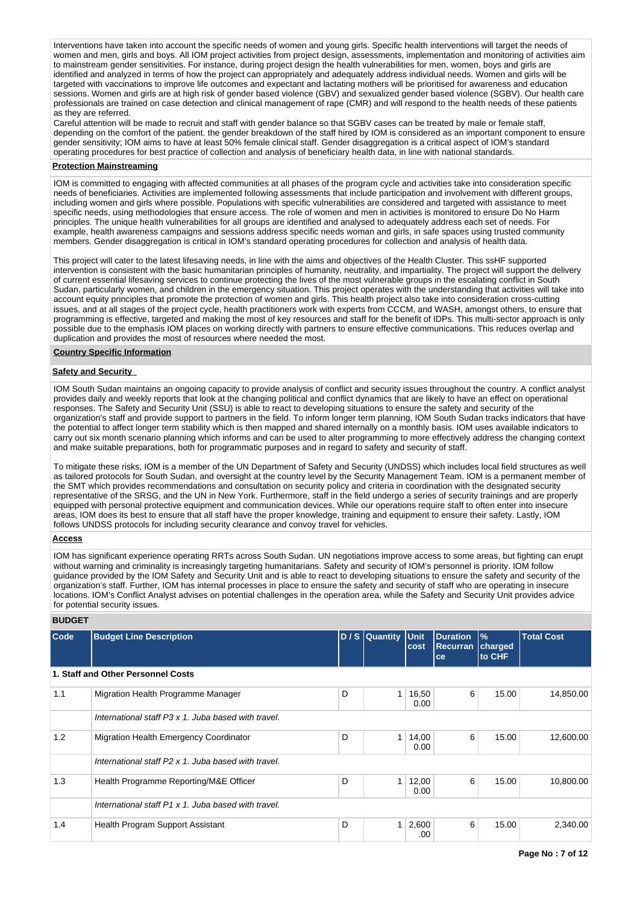Interventions have taken into account the specific needs of women and young girls. Specific health interventions will target the needs of women and men, girls and boys. All IOM project activities from project design, assessments, implementation and monitoring of activities aim to mainstream gender sensitivities. For instance, during project design the health vulnerabilities for men, women, boys and girls are identified and analyzed in terms of how the project can appropriately and adequately address individual needs. Women and girls will be targeted with vaccinations to improve life outcomes and expectant and lactating mothers will be prioritised for awareness and education sessions. Women and girls are at high risk of gender based violence (GBV) and sexualized gender based violence (SGBV). Our health care professionals are trained on case detection and clinical management of rape (CMR) and will respond to the health needs of these patients as they are referred.

Careful attention will be made to recruit and staff with gender balance so that SGBV cases can be treated by male or female staff, depending on the comfort of the patient. the gender breakdown of the staff hired by IOM is considered as an important component to ensure gender sensitivity; IOM aims to have at least 50% female clinical staff. Gender disaggregation is a critical aspect of IOM's standard operating procedures for best practice of collection and analysis of beneficiary health data, in line with national standards.

### **Protection Mainstreaming**

IOM is committed to engaging with affected communities at all phases of the program cycle and activities take into consideration specific needs of beneficiaries. Activities are implemented following assessments that include participation and involvement with different groups, including women and girls where possible. Populations with specific vulnerabilities are considered and targeted with assistance to meet specific needs, using methodologies that ensure access. The role of women and men in activities is monitored to ensure Do No Harm principles. The unique health vulnerabilities for all groups are identified and analysed to adequately address each set of needs. For example, health awareness campaigns and sessions address specific needs woman and girls, in safe spaces using trusted community members. Gender disaggregation is critical in IOM's standard operating procedures for collection and analysis of health data.

This project will cater to the latest lifesaving needs, in line with the aims and objectives of the Health Cluster. This ssHF supported intervention is consistent with the basic humanitarian principles of humanity, neutrality, and impartiality. The project will support the delivery of current essential lifesaving services to continue protecting the lives of the most vulnerable groups in the escalating conflict in South Sudan, particularly women, and children in the emergency situation. This project operates with the understanding that activities will take into account equity principles that promote the protection of women and girls. This health project also take into consideration cross-cutting issues, and at all stages of the project cycle, health practitioners work with experts from CCCM, and WASH, amongst others, to ensure that programming is effective, targeted and making the most of key resources and staff for the benefit of IDPs. This multi-sector approach is only possible due to the emphasis IOM places on working directly with partners to ensure effective communications. This reduces overlap and duplication and provides the most of resources where needed the most.

#### **Country Specific Information**

## **Safety and Security**

IOM South Sudan maintains an ongoing capacity to provide analysis of conflict and security issues throughout the country. A conflict analyst provides daily and weekly reports that look at the changing political and conflict dynamics that are likely to have an effect on operational responses. The Safety and Security Unit (SSU) is able to react to developing situations to ensure the safety and security of the organization's staff and provide support to partners in the field. To inform longer term planning, IOM South Sudan tracks indicators that have the potential to affect longer term stability which is then mapped and shared internally on a monthly basis. IOM uses available indicators to carry out six month scenario planning which informs and can be used to alter programming to more effectively address the changing context and make suitable preparations, both for programmatic purposes and in regard to safety and security of staff.

To mitigate these risks, IOM is a member of the UN Department of Safety and Security (UNDSS) which includes local field structures as well as tailored protocols for South Sudan, and oversight at the country level by the Security Management Team. IOM is a permanent member of the SMT which provides recommendations and consultation on security policy and criteria in coordination with the designated security representative of the SRSG, and the UN in New York. Furthermore, staff in the field undergo a series of security trainings and are properly equipped with personal protective equipment and communication devices. While our operations require staff to often enter into insecure areas, IOM does its best to ensure that all staff have the proper knowledge, training and equipment to ensure their safety. Lastly, IOM follows UNDSS protocols for including security clearance and convoy travel for vehicles.

#### **Access**

IOM has significant experience operating RRTs across South Sudan. UN negotiations improve access to some areas, but fighting can erupt without warning and criminality is increasingly targeting humanitarians. Safety and security of IOM's personnel is priority. IOM follow guidance provided by the IOM Safety and Security Unit and is able to react to developing situations to ensure the safety and security of the organization's staff. Further, IOM has internal processes in place to ensure the safety and security of staff who are operating in insecure locations. IOM's Conflict Analyst advises on potential challenges in the operation area, while the Safety and Security Unit provides advice for potential security issues.

#### **BUDGET**

| <b>Code</b> | <b>Budget Line Description</b>                      |   | D / S Quantity Unit | cost          | <b>Duration</b><br><b>Recurran</b><br>ce | $\frac{9}{6}$<br>charged<br>to CHF | <b>Total Cost</b> |
|-------------|-----------------------------------------------------|---|---------------------|---------------|------------------------------------------|------------------------------------|-------------------|
|             | 1. Staff and Other Personnel Costs                  |   |                     |               |                                          |                                    |                   |
| 1.1         | Migration Health Programme Manager                  | D | 1                   | 16,50<br>0.00 | 6                                        | 15.00                              | 14,850.00         |
|             | International staff P3 x 1, Juba based with travel. |   |                     |               |                                          |                                    |                   |
| 1.2         | Migration Health Emergency Coordinator              | D |                     | 14,00<br>0.00 | 6                                        | 15.00                              | 12,600.00         |
|             | International staff P2 x 1, Juba based with travel. |   |                     |               |                                          |                                    |                   |
| 1.3         | Health Programme Reporting/M&E Officer              | D | 1                   | 12,00<br>0.00 | 6                                        | 15.00                              | 10,800.00         |
|             | International staff P1 x 1, Juba based with travel. |   |                     |               |                                          |                                    |                   |
| 1.4         | Health Program Support Assistant                    | D | 1                   | 2,600<br>.00  | 6                                        | 15.00                              | 2,340.00          |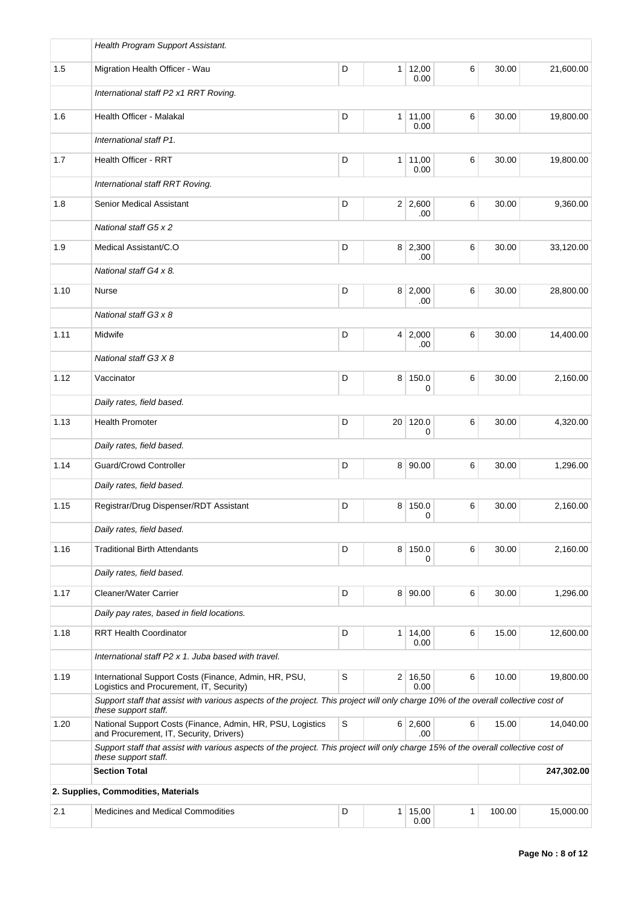|      | Health Program Support Assistant.                                                                                                                          |   |                |                        |   |        |           |
|------|------------------------------------------------------------------------------------------------------------------------------------------------------------|---|----------------|------------------------|---|--------|-----------|
| 1.5  | Migration Health Officer - Wau                                                                                                                             | D | 1 <sup>1</sup> | 12,00<br>0.00          | 6 | 30.00  | 21,600.00 |
|      | International staff P2 x1 RRT Roving.                                                                                                                      |   |                |                        |   |        |           |
| 1.6  | Health Officer - Malakal                                                                                                                                   | D |                | 1 11,00<br>0.00        | 6 | 30.00  | 19,800.00 |
|      | International staff P1.                                                                                                                                    |   |                |                        |   |        |           |
| 1.7  | Health Officer - RRT                                                                                                                                       | D | 1 <sup>1</sup> | 11,00<br>0.00          | 6 | 30.00  | 19,800.00 |
|      | International staff RRT Roving.                                                                                                                            |   |                |                        |   |        |           |
| 1.8  | Senior Medical Assistant                                                                                                                                   | D |                | 2 2,600<br>.00         | 6 | 30.00  | 9,360.00  |
|      | National staff G5 x 2                                                                                                                                      |   |                |                        |   |        |           |
| 1.9  | Medical Assistant/C.O                                                                                                                                      | D |                | 8 2,300<br>.00         | 6 | 30.00  | 33,120.00 |
|      | National staff G4 x 8.                                                                                                                                     |   |                |                        |   |        |           |
| 1.10 | <b>Nurse</b>                                                                                                                                               | D |                | 8 2,000<br>.00         | 6 | 30.00  | 28,800.00 |
|      | National staff G3 x 8                                                                                                                                      |   |                |                        |   |        |           |
| 1.11 | Midwife                                                                                                                                                    | D |                | 4 2,000<br>.00         | 6 | 30.00  | 14,400.00 |
|      | National staff G3 X 8                                                                                                                                      |   |                |                        |   |        |           |
| 1.12 | Vaccinator                                                                                                                                                 | D | 8              | 150.0<br>0             | 6 | 30.00  | 2,160.00  |
|      | Daily rates, field based.                                                                                                                                  |   |                |                        |   |        |           |
| 1.13 | <b>Health Promoter</b>                                                                                                                                     | D | 20             | 120.0<br>0             | 6 | 30.00  | 4,320.00  |
|      | Daily rates, field based.                                                                                                                                  |   |                |                        |   |        |           |
| 1.14 | <b>Guard/Crowd Controller</b>                                                                                                                              | D |                | 8 90.00                | 6 | 30.00  | 1,296.00  |
|      | Daily rates, field based.                                                                                                                                  |   |                |                        |   |        |           |
| 1.15 | Registrar/Drug Dispenser/RDT Assistant                                                                                                                     | D | 8 <sup>1</sup> | 150.0<br>0             | 6 | 30.00  | 2,160.00  |
|      | Daily rates, field based.                                                                                                                                  |   |                |                        |   |        |           |
| 1.16 | <b>Traditional Birth Attendants</b>                                                                                                                        | D | 8 <sup>1</sup> | 150.0<br>$\Omega$      | 6 | 30.00  | 2,160.00  |
|      | Daily rates, field based.                                                                                                                                  |   |                |                        |   |        |           |
| 1.17 | Cleaner/Water Carrier                                                                                                                                      | D |                | 8 90.00                | 6 | 30.00  | 1,296.00  |
|      | Daily pay rates, based in field locations.                                                                                                                 |   |                |                        |   |        |           |
| 1.18 | <b>RRT Health Coordinator</b>                                                                                                                              | D |                | $1 \, 14,00$<br>0.00   | 6 | 15.00  | 12,600.00 |
|      | International staff P2 x 1, Juba based with travel.                                                                                                        |   |                |                        |   |        |           |
| 1.19 | International Support Costs (Finance, Admin, HR, PSU,<br>Logistics and Procurement, IT, Security)                                                          | S |                | $2 \mid 16,50$<br>0.00 | 6 | 10.00  | 19,800.00 |
|      | Support staff that assist with various aspects of the project. This project will only charge 10% of the overall collective cost of<br>these support staff. |   |                |                        |   |        |           |
| 1.20 | National Support Costs (Finance, Admin, HR, PSU, Logistics<br>and Procurement, IT, Security, Drivers)                                                      | S |                | 6 2,600<br>.00         | 6 | 15.00  | 14,040.00 |
|      | Support staff that assist with various aspects of the project. This project will only charge 15% of the overall collective cost of<br>these support staff. |   |                |                        |   |        |           |
|      | <b>Section Total</b>                                                                                                                                       |   |                | 247,302.00             |   |        |           |
|      | 2. Supplies, Commodities, Materials                                                                                                                        |   |                |                        |   |        |           |
| 2.1  | <b>Medicines and Medical Commodities</b>                                                                                                                   | D | 1 <sup>1</sup> | 15,00<br>0.00          | 1 | 100.00 | 15,000.00 |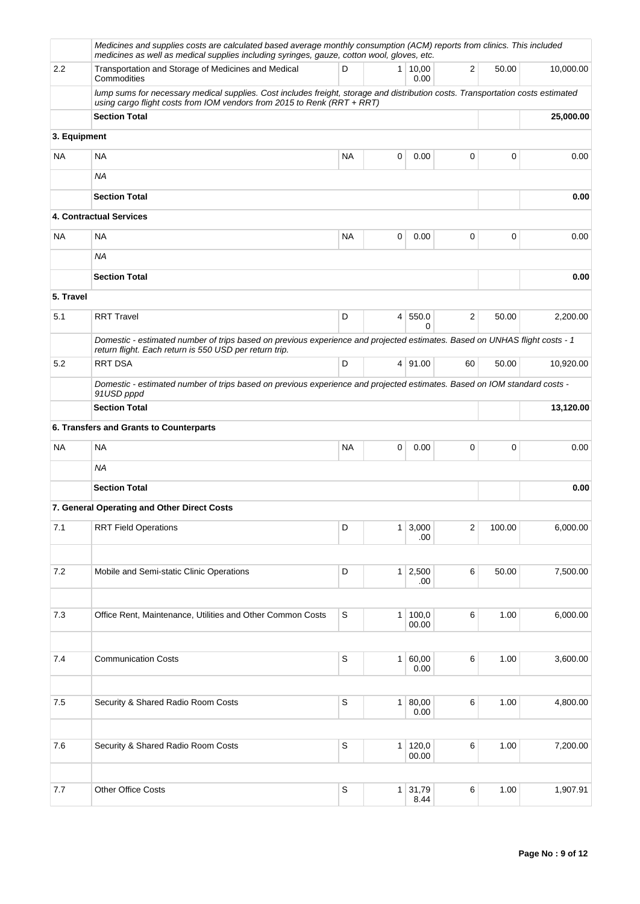|              | Medicines and supplies costs are calculated based average monthly consumption (ACM) reports from clinics. This included<br>medicines as well as medical supplies including syringes, gauze, cotton wool, gloves, etc. |             |                |                   |                         |        |           |
|--------------|-----------------------------------------------------------------------------------------------------------------------------------------------------------------------------------------------------------------------|-------------|----------------|-------------------|-------------------------|--------|-----------|
| 2.2          | Transportation and Storage of Medicines and Medical<br>Commodities                                                                                                                                                    | D           | 1 <sup>1</sup> | 10,00<br>0.00     | $\overline{2}$          | 50.00  | 10,000.00 |
|              | lump sums for necessary medical supplies. Cost includes freight, storage and distribution costs. Transportation costs estimated<br>using cargo flight costs from IOM vendors from 2015 to Renk (RRT + RRT)            |             |                |                   |                         |        |           |
|              | <b>Section Total</b>                                                                                                                                                                                                  |             |                |                   |                         |        | 25,000.00 |
| 3. Equipment |                                                                                                                                                                                                                       |             |                |                   |                         |        |           |
| <b>NA</b>    | <b>NA</b>                                                                                                                                                                                                             | <b>NA</b>   | 0              | 0.00              | 0                       | 0      | 0.00      |
|              | <b>NA</b>                                                                                                                                                                                                             |             |                |                   |                         |        |           |
|              | <b>Section Total</b>                                                                                                                                                                                                  |             |                |                   |                         |        | 0.00      |
|              | 4. Contractual Services                                                                                                                                                                                               |             |                |                   |                         |        |           |
| <b>NA</b>    | <b>NA</b>                                                                                                                                                                                                             | <b>NA</b>   | 0              | 0.00              | 0                       | 0      | 0.00      |
|              | NA                                                                                                                                                                                                                    |             |                |                   |                         |        |           |
|              | <b>Section Total</b>                                                                                                                                                                                                  |             |                |                   |                         |        | 0.00      |
| 5. Travel    |                                                                                                                                                                                                                       |             |                |                   |                         |        |           |
| 5.1          | <b>RRT Travel</b>                                                                                                                                                                                                     | D           | $\overline{4}$ | 550.0<br>$\Omega$ | $\overline{c}$          | 50.00  | 2,200.00  |
|              | Domestic - estimated number of trips based on previous experience and projected estimates. Based on UNHAS flight costs - 1                                                                                            |             |                |                   |                         |        |           |
| 5.2          | return flight. Each return is 550 USD per return trip.<br><b>RRT DSA</b>                                                                                                                                              | D           |                | 4   91.00         | 60                      | 50.00  | 10,920.00 |
|              | Domestic - estimated number of trips based on previous experience and projected estimates. Based on IOM standard costs -<br>91USD pppd                                                                                |             |                |                   |                         |        |           |
|              | <b>Section Total</b>                                                                                                                                                                                                  |             |                |                   |                         |        | 13,120.00 |
|              | 6. Transfers and Grants to Counterparts                                                                                                                                                                               |             |                |                   |                         |        |           |
| NA           | NA                                                                                                                                                                                                                    | <b>NA</b>   | 0              | 0.00              | 0                       | 0      | 0.00      |
|              | <b>NA</b>                                                                                                                                                                                                             |             |                |                   |                         |        |           |
|              | <b>Section Total</b>                                                                                                                                                                                                  |             |                |                   |                         |        | 0.00      |
|              | 7. General Operating and Other Direct Costs                                                                                                                                                                           |             |                |                   |                         |        |           |
| 7.1          | <b>RRT Field Operations</b>                                                                                                                                                                                           | D           | 1              | 3,000             | $\overline{\mathbf{c}}$ | 100.00 | 6,000.00  |
|              |                                                                                                                                                                                                                       |             |                | .00               |                         |        |           |
| 7.2          | Mobile and Semi-static Clinic Operations                                                                                                                                                                              | D           | 1              | 2,500             | 6                       | 50.00  | 7,500.00  |
|              |                                                                                                                                                                                                                       |             |                | .00.              |                         |        |           |
| 7.3          | Office Rent, Maintenance, Utilities and Other Common Costs                                                                                                                                                            | S           | $\mathbf{1}$   | 100,0             | $\,6$                   | 1.00   | 6,000.00  |
|              |                                                                                                                                                                                                                       |             |                | 00.00             |                         |        |           |
|              |                                                                                                                                                                                                                       |             |                |                   |                         |        |           |
| 7.4          | <b>Communication Costs</b>                                                                                                                                                                                            | S           | $\mathbf{1}$   | 60,00<br>0.00     | 6                       | 1.00   | 3,600.00  |
|              |                                                                                                                                                                                                                       |             |                |                   |                         |        |           |
| $7.5\,$      | Security & Shared Radio Room Costs                                                                                                                                                                                    | S           | 1              | 80,00<br>0.00     | 6                       | 1.00   | 4,800.00  |
|              |                                                                                                                                                                                                                       |             |                |                   |                         |        |           |
| 7.6          | Security & Shared Radio Room Costs                                                                                                                                                                                    | S           | 1              | 120,0<br>00.00    | 6                       | 1.00   | 7,200.00  |
|              |                                                                                                                                                                                                                       |             |                |                   |                         |        |           |
| 7.7          | <b>Other Office Costs</b>                                                                                                                                                                                             | $\mathbb S$ | 1              | 31,79<br>8.44     | 6                       | 1.00   | 1,907.91  |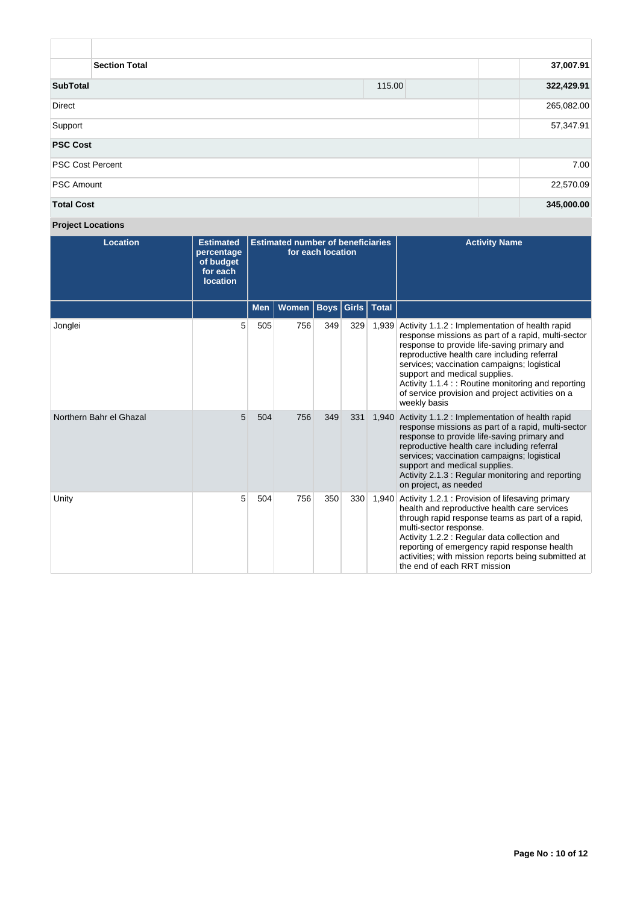| <b>Section Total</b>    | 37,007.91 |            |
|-------------------------|-----------|------------|
| <b>SubTotal</b>         | 115.00    | 322,429.91 |
| Direct                  |           | 265,082.00 |
| Support                 | 57,347.91 |            |
| <b>PSC Cost</b>         |           |            |
| <b>PSC Cost Percent</b> |           | 7.00       |
| <b>PSC Amount</b>       |           | 22,570.09  |
| <b>Total Cost</b>       |           | 345,000.00 |

**Project Locations**

| <b>Location</b>         | <b>Estimated</b><br>percentage<br>of budget<br>for each<br><b>location</b> | <b>Estimated number of beneficiaries</b><br>for each location |       |             |       |              | <b>Activity Name</b>                                                                                                                                                                                                                                                                                                                                                                                          |
|-------------------------|----------------------------------------------------------------------------|---------------------------------------------------------------|-------|-------------|-------|--------------|---------------------------------------------------------------------------------------------------------------------------------------------------------------------------------------------------------------------------------------------------------------------------------------------------------------------------------------------------------------------------------------------------------------|
|                         |                                                                            | <b>Men</b>                                                    | Women | <b>Boys</b> | Girls | <b>Total</b> |                                                                                                                                                                                                                                                                                                                                                                                                               |
| Jonglei                 | 5                                                                          | 505                                                           | 756   | 349         | 329   | 1,939        | Activity 1.1.2 : Implementation of health rapid<br>response missions as part of a rapid, multi-sector<br>response to provide life-saving primary and<br>reproductive health care including referral<br>services; vaccination campaigns; logistical<br>support and medical supplies.<br>Activity 1.1.4 :: Routine monitoring and reporting<br>of service provision and project activities on a<br>weekly basis |
| Northern Bahr el Ghazal | 5                                                                          | 504                                                           | 756   | 349         | 331   | 1.940        | Activity 1.1.2 : Implementation of health rapid<br>response missions as part of a rapid, multi-sector<br>response to provide life-saving primary and<br>reproductive health care including referral<br>services; vaccination campaigns; logistical<br>support and medical supplies.<br>Activity 2.1.3: Regular monitoring and reporting<br>on project, as needed                                              |
| Unity                   | 5                                                                          | 504                                                           | 756   | 350         | 330   | 1,940        | Activity 1.2.1 : Provision of lifesaving primary<br>health and reproductive health care services<br>through rapid response teams as part of a rapid,<br>multi-sector response.<br>Activity 1.2.2 : Regular data collection and<br>reporting of emergency rapid response health<br>activities; with mission reports being submitted at<br>the end of each RRT mission                                          |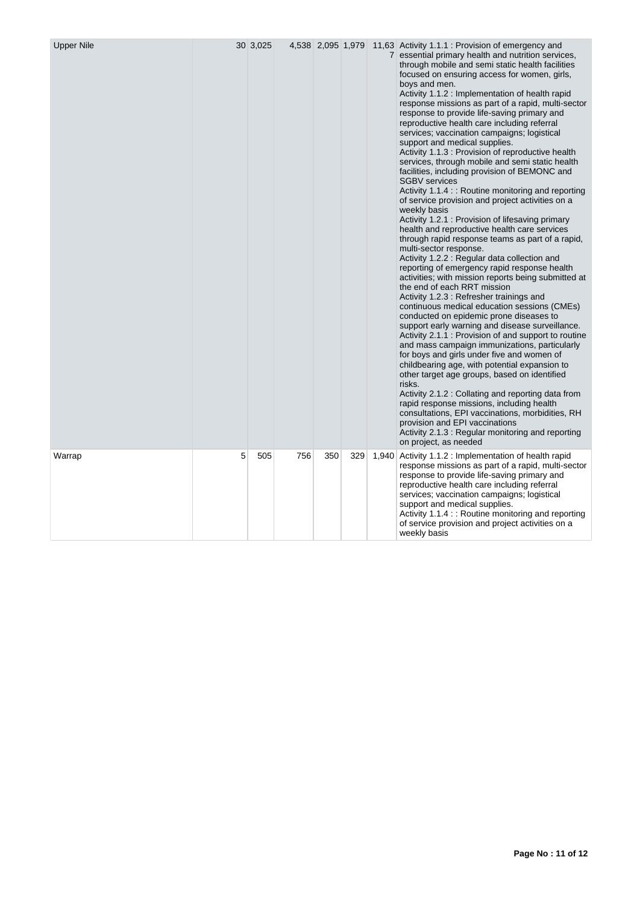| <b>Upper Nile</b> |   | 30 3,025 |     | 4,538 2,095 1,979 |     |       | 11,63 Activity 1.1.1 : Provision of emergency and<br>7 essential primary health and nutrition services,<br>through mobile and semi static health facilities<br>focused on ensuring access for women, girls,<br>boys and men.<br>Activity 1.1.2 : Implementation of health rapid<br>response missions as part of a rapid, multi-sector<br>response to provide life-saving primary and<br>reproductive health care including referral<br>services; vaccination campaigns; logistical<br>support and medical supplies.<br>Activity 1.1.3 : Provision of reproductive health<br>services, through mobile and semi static health<br>facilities, including provision of BEMONC and<br><b>SGBV</b> services<br>Activity 1.1.4 :: Routine monitoring and reporting<br>of service provision and project activities on a<br>weekly basis<br>Activity 1.2.1 : Provision of lifesaving primary<br>health and reproductive health care services<br>through rapid response teams as part of a rapid,<br>multi-sector response.<br>Activity 1.2.2 : Regular data collection and<br>reporting of emergency rapid response health<br>activities; with mission reports being submitted at<br>the end of each RRT mission<br>Activity 1.2.3 : Refresher trainings and<br>continuous medical education sessions (CMEs)<br>conducted on epidemic prone diseases to<br>support early warning and disease surveillance.<br>Activity 2.1.1 : Provision of and support to routine<br>and mass campaign immunizations, particularly<br>for boys and girls under five and women of<br>childbearing age, with potential expansion to<br>other target age groups, based on identified<br>risks.<br>Activity 2.1.2 : Collating and reporting data from<br>rapid response missions, including health<br>consultations, EPI vaccinations, morbidities, RH<br>provision and EPI vaccinations<br>Activity 2.1.3 : Regular monitoring and reporting<br>on project, as needed |
|-------------------|---|----------|-----|-------------------|-----|-------|-------------------------------------------------------------------------------------------------------------------------------------------------------------------------------------------------------------------------------------------------------------------------------------------------------------------------------------------------------------------------------------------------------------------------------------------------------------------------------------------------------------------------------------------------------------------------------------------------------------------------------------------------------------------------------------------------------------------------------------------------------------------------------------------------------------------------------------------------------------------------------------------------------------------------------------------------------------------------------------------------------------------------------------------------------------------------------------------------------------------------------------------------------------------------------------------------------------------------------------------------------------------------------------------------------------------------------------------------------------------------------------------------------------------------------------------------------------------------------------------------------------------------------------------------------------------------------------------------------------------------------------------------------------------------------------------------------------------------------------------------------------------------------------------------------------------------------------------------------------------------------------------------------------------------------------------|
| Warrap            | 5 | 505      | 756 | 350               | 329 | 1,940 | Activity 1.1.2 : Implementation of health rapid<br>response missions as part of a rapid, multi-sector<br>response to provide life-saving primary and<br>reproductive health care including referral<br>services; vaccination campaigns; logistical<br>support and medical supplies.<br>Activity 1.1.4 :: Routine monitoring and reporting<br>of service provision and project activities on a<br>weekly basis                                                                                                                                                                                                                                                                                                                                                                                                                                                                                                                                                                                                                                                                                                                                                                                                                                                                                                                                                                                                                                                                                                                                                                                                                                                                                                                                                                                                                                                                                                                             |